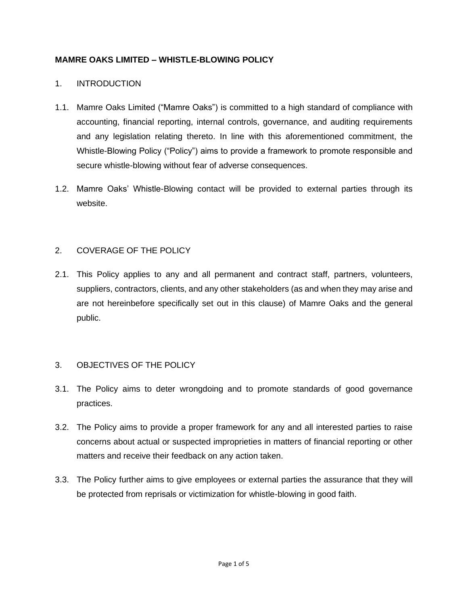### **MAMRE OAKS LIMITED – WHISTLE-BLOWING POLICY**

### 1. INTRODUCTION

- 1.1. Mamre Oaks Limited ("Mamre Oaks") is committed to a high standard of compliance with accounting, financial reporting, internal controls, governance, and auditing requirements and any legislation relating thereto. In line with this aforementioned commitment, the Whistle-Blowing Policy ("Policy") aims to provide a framework to promote responsible and secure whistle-blowing without fear of adverse consequences.
- 1.2. Mamre Oaks' Whistle-Blowing contact will be provided to external parties through its website.

### 2. COVERAGE OF THE POLICY

2.1. This Policy applies to any and all permanent and contract staff, partners, volunteers, suppliers, contractors, clients, and any other stakeholders (as and when they may arise and are not hereinbefore specifically set out in this clause) of Mamre Oaks and the general public.

# 3. OBJECTIVES OF THE POLICY

- 3.1. The Policy aims to deter wrongdoing and to promote standards of good governance practices.
- 3.2. The Policy aims to provide a proper framework for any and all interested parties to raise concerns about actual or suspected improprieties in matters of financial reporting or other matters and receive their feedback on any action taken.
- 3.3. The Policy further aims to give employees or external parties the assurance that they will be protected from reprisals or victimization for whistle-blowing in good faith.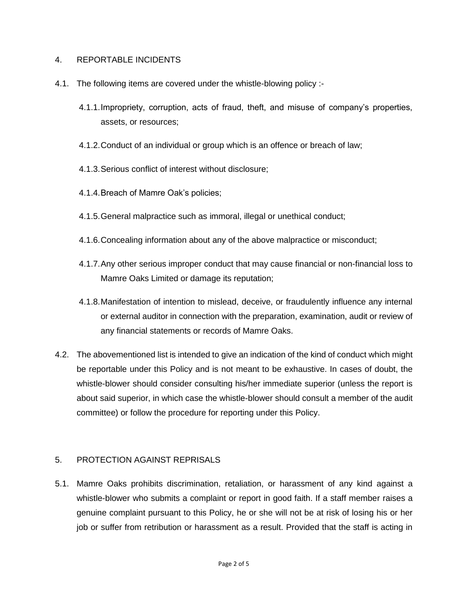### 4. REPORTABLE INCIDENTS

- 4.1. The following items are covered under the whistle-blowing policy :-
	- 4.1.1.Impropriety, corruption, acts of fraud, theft, and misuse of company's properties, assets, or resources;
	- 4.1.2.Conduct of an individual or group which is an offence or breach of law;
	- 4.1.3.Serious conflict of interest without disclosure;
	- 4.1.4.Breach of Mamre Oak's policies;
	- 4.1.5.General malpractice such as immoral, illegal or unethical conduct;
	- 4.1.6.Concealing information about any of the above malpractice or misconduct;
	- 4.1.7.Any other serious improper conduct that may cause financial or non-financial loss to Mamre Oaks Limited or damage its reputation;
	- 4.1.8.Manifestation of intention to mislead, deceive, or fraudulently influence any internal or external auditor in connection with the preparation, examination, audit or review of any financial statements or records of Mamre Oaks.
- 4.2. The abovementioned list is intended to give an indication of the kind of conduct which might be reportable under this Policy and is not meant to be exhaustive. In cases of doubt, the whistle-blower should consider consulting his/her immediate superior (unless the report is about said superior, in which case the whistle-blower should consult a member of the audit committee) or follow the procedure for reporting under this Policy.

# 5. PROTECTION AGAINST REPRISALS

5.1. Mamre Oaks prohibits discrimination, retaliation, or harassment of any kind against a whistle-blower who submits a complaint or report in good faith. If a staff member raises a genuine complaint pursuant to this Policy, he or she will not be at risk of losing his or her job or suffer from retribution or harassment as a result. Provided that the staff is acting in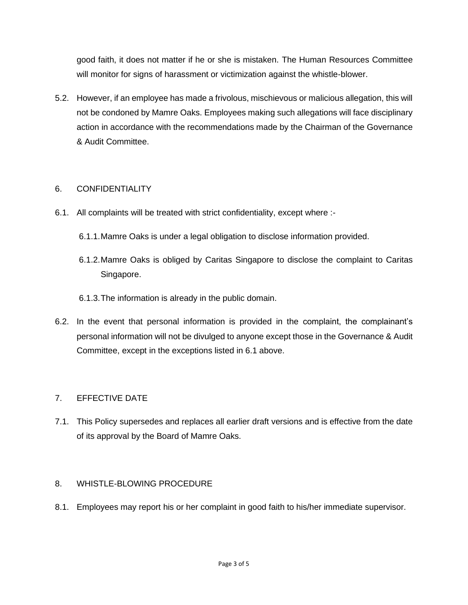good faith, it does not matter if he or she is mistaken. The Human Resources Committee will monitor for signs of harassment or victimization against the whistle-blower.

5.2. However, if an employee has made a frivolous, mischievous or malicious allegation, this will not be condoned by Mamre Oaks. Employees making such allegations will face disciplinary action in accordance with the recommendations made by the Chairman of the Governance & Audit Committee.

# 6. CONFIDENTIALITY

- 6.1. All complaints will be treated with strict confidentiality, except where :-
	- 6.1.1.Mamre Oaks is under a legal obligation to disclose information provided.
	- 6.1.2.Mamre Oaks is obliged by Caritas Singapore to disclose the complaint to Caritas Singapore.
	- 6.1.3.The information is already in the public domain.
- 6.2. In the event that personal information is provided in the complaint, the complainant's personal information will not be divulged to anyone except those in the Governance & Audit Committee, except in the exceptions listed in 6.1 above.

# 7. EFFECTIVE DATE

7.1. This Policy supersedes and replaces all earlier draft versions and is effective from the date of its approval by the Board of Mamre Oaks.

# 8. WHISTLE-BLOWING PROCEDURE

8.1. Employees may report his or her complaint in good faith to his/her immediate supervisor.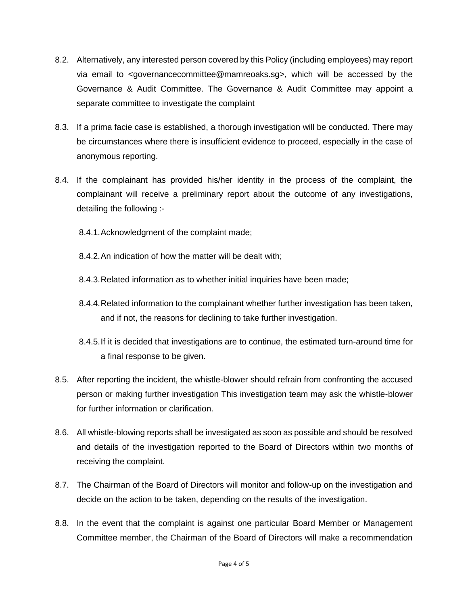- 8.2. Alternatively, any interested person covered by this Policy (including employees) may report via email to <governancecommittee@mamreoaks.sg>, which will be accessed by the Governance & Audit Committee. The Governance & Audit Committee may appoint a separate committee to investigate the complaint
- 8.3. If a prima facie case is established, a thorough investigation will be conducted. There may be circumstances where there is insufficient evidence to proceed, especially in the case of anonymous reporting.
- 8.4. If the complainant has provided his/her identity in the process of the complaint, the complainant will receive a preliminary report about the outcome of any investigations, detailing the following :-
	- 8.4.1.Acknowledgment of the complaint made;
	- 8.4.2.An indication of how the matter will be dealt with;
	- 8.4.3.Related information as to whether initial inquiries have been made;
	- 8.4.4.Related information to the complainant whether further investigation has been taken, and if not, the reasons for declining to take further investigation.
	- 8.4.5.If it is decided that investigations are to continue, the estimated turn-around time for a final response to be given.
- 8.5. After reporting the incident, the whistle-blower should refrain from confronting the accused person or making further investigation This investigation team may ask the whistle-blower for further information or clarification.
- 8.6. All whistle-blowing reports shall be investigated as soon as possible and should be resolved and details of the investigation reported to the Board of Directors within two months of receiving the complaint.
- 8.7. The Chairman of the Board of Directors will monitor and follow-up on the investigation and decide on the action to be taken, depending on the results of the investigation.
- 8.8. In the event that the complaint is against one particular Board Member or Management Committee member, the Chairman of the Board of Directors will make a recommendation